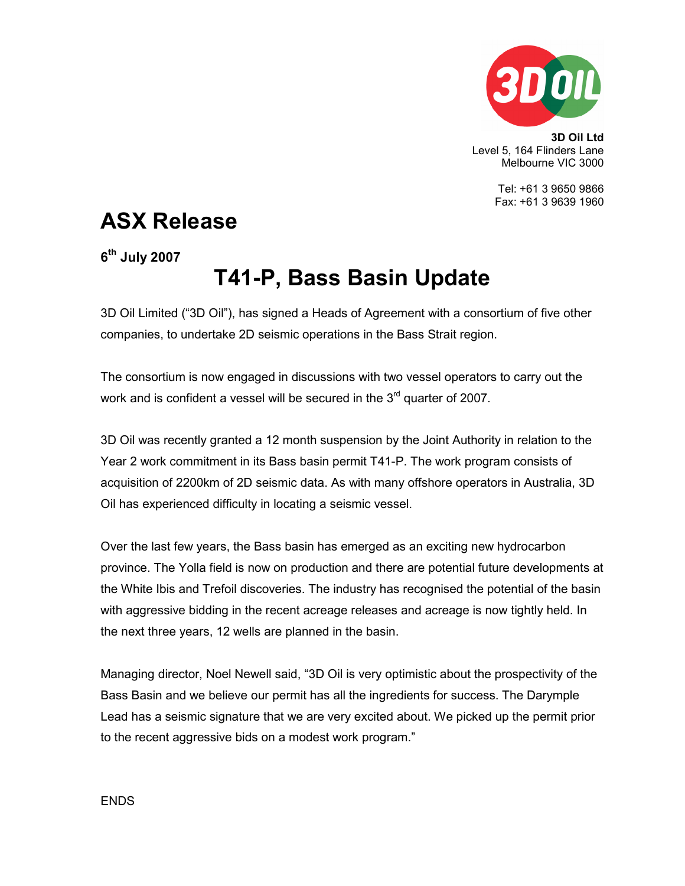

3D Oil Ltd Level 5, 164 Flinders Lane Melbourne VIC 3000

> Tel: +61 3 9650 9866 Fax: +61 3 9639 1960

## ASX Release

6<sup>th</sup> July 2007

# T41-P, Bass Basin Update

3D Oil Limited ("3D Oil"), has signed a Heads of Agreement with a consortium of five other companies, to undertake 2D seismic operations in the Bass Strait region.

The consortium is now engaged in discussions with two vessel operators to carry out the work and is confident a vessel will be secured in the  $3<sup>rd</sup>$  quarter of 2007.

3D Oil was recently granted a 12 month suspension by the Joint Authority in relation to the Year 2 work commitment in its Bass basin permit T41-P. The work program consists of acquisition of 2200km of 2D seismic data. As with many offshore operators in Australia, 3D Oil has experienced difficulty in locating a seismic vessel.

Over the last few years, the Bass basin has emerged as an exciting new hydrocarbon province. The Yolla field is now on production and there are potential future developments at the White Ibis and Trefoil discoveries. The industry has recognised the potential of the basin with aggressive bidding in the recent acreage releases and acreage is now tightly held. In the next three years, 12 wells are planned in the basin.

Managing director, Noel Newell said, "3D Oil is very optimistic about the prospectivity of the Bass Basin and we believe our permit has all the ingredients for success. The Darymple Lead has a seismic signature that we are very excited about. We picked up the permit prior to the recent aggressive bids on a modest work program."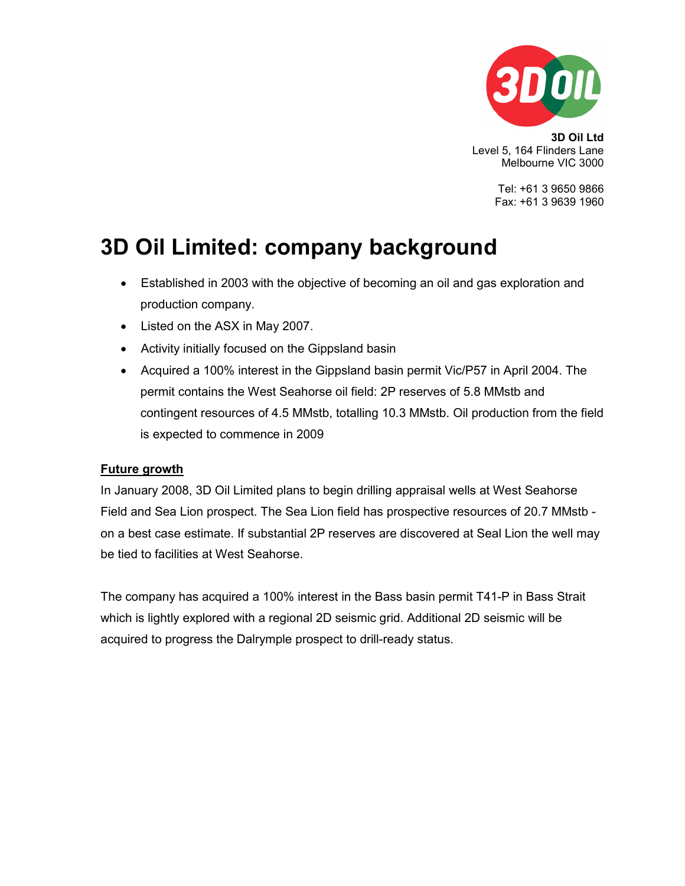

3D Oil Ltd Level 5, 164 Flinders Lane Melbourne VIC 3000

> Tel: +61 3 9650 9866 Fax: +61 3 9639 1960

### 3D Oil Limited: company background

- Established in 2003 with the objective of becoming an oil and gas exploration and production company.
- Listed on the ASX in May 2007.
- Activity initially focused on the Gippsland basin
- Acquired a 100% interest in the Gippsland basin permit Vic/P57 in April 2004. The permit contains the West Seahorse oil field: 2P reserves of 5.8 MMstb and contingent resources of 4.5 MMstb, totalling 10.3 MMstb. Oil production from the field is expected to commence in 2009

#### Future growth

In January 2008, 3D Oil Limited plans to begin drilling appraisal wells at West Seahorse Field and Sea Lion prospect. The Sea Lion field has prospective resources of 20.7 MMstb on a best case estimate. If substantial 2P reserves are discovered at Seal Lion the well may be tied to facilities at West Seahorse.

The company has acquired a 100% interest in the Bass basin permit T41-P in Bass Strait which is lightly explored with a regional 2D seismic grid. Additional 2D seismic will be acquired to progress the Dalrymple prospect to drill-ready status.